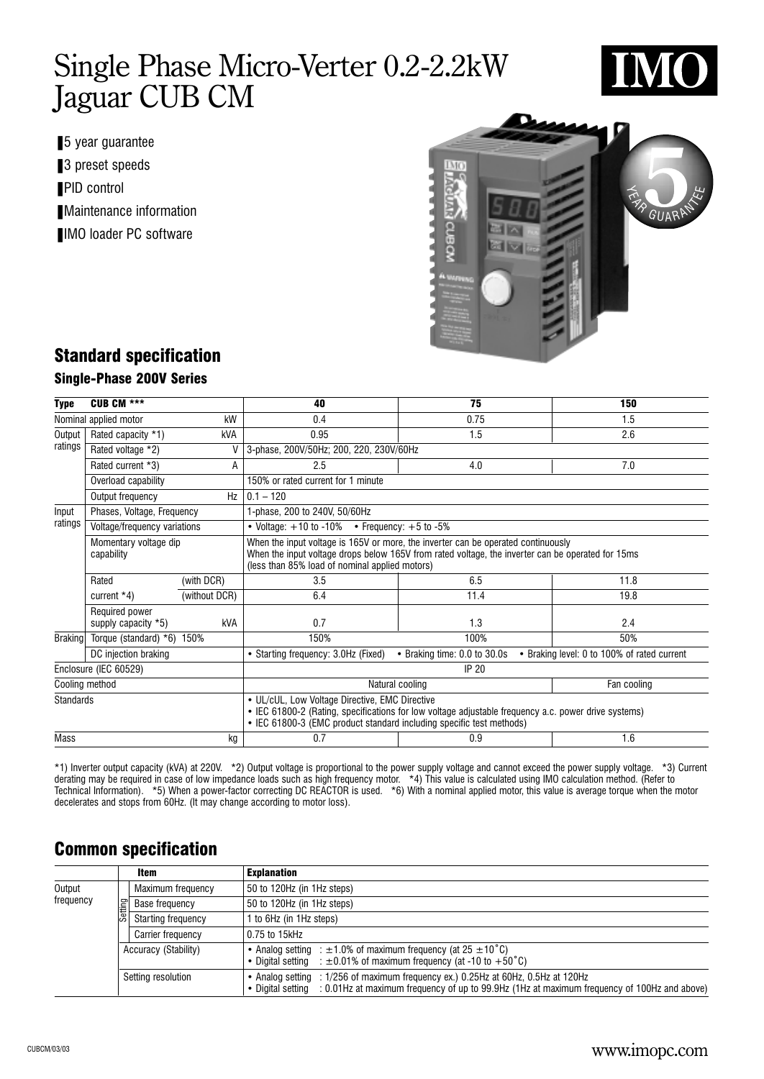

- 5 year guarantee
- 3 preset speeds
- PID control
- Maintenance information
- IMO loader PC software



### Standard specification

#### Single-Phase 200V Series

| <b>Type</b>      | <b>CUB CM ***</b>                     |               | 40                                                                                                                                                                                                                                       | 75                           |  | 150                                         |  |  |  |  |
|------------------|---------------------------------------|---------------|------------------------------------------------------------------------------------------------------------------------------------------------------------------------------------------------------------------------------------------|------------------------------|--|---------------------------------------------|--|--|--|--|
|                  | Nominal applied motor                 | kW            | 0.4                                                                                                                                                                                                                                      | 0.75                         |  | 1.5                                         |  |  |  |  |
| Output           | Rated capacity *1)<br><b>kVA</b>      |               | 0.95                                                                                                                                                                                                                                     | 2.6                          |  |                                             |  |  |  |  |
| ratings          | Rated voltage *2)                     | V             | 3-phase, 200V/50Hz; 200, 220, 230V/60Hz                                                                                                                                                                                                  |                              |  |                                             |  |  |  |  |
|                  | Rated current *3)                     | A             | 2.5                                                                                                                                                                                                                                      | 4.0                          |  | 7.0                                         |  |  |  |  |
|                  | Overload capability                   |               | 150% or rated current for 1 minute                                                                                                                                                                                                       |                              |  |                                             |  |  |  |  |
|                  | Output frequency                      | Hz            | $ 0.1 - 120$                                                                                                                                                                                                                             |                              |  |                                             |  |  |  |  |
| Input            | Phases, Voltage, Frequency            |               | 1-phase, 200 to 240V, 50/60Hz                                                                                                                                                                                                            |                              |  |                                             |  |  |  |  |
| ratings          | Voltage/frequency variations          |               | • Voltage: $+10$ to $-10\%$ • Frequency: $+5$ to $-5\%$                                                                                                                                                                                  |                              |  |                                             |  |  |  |  |
|                  | Momentary voltage dip<br>capability   |               | When the input voltage is 165V or more, the inverter can be operated continuously<br>When the input voltage drops below 165V from rated voltage, the inverter can be operated for 15ms<br>(less than 85% load of nominal applied motors) |                              |  |                                             |  |  |  |  |
|                  | Rated                                 | (with DCR)    | 3.5                                                                                                                                                                                                                                      | 6.5                          |  | 11.8                                        |  |  |  |  |
|                  | current $*4$ )                        | (without DCR) | 6.4                                                                                                                                                                                                                                      | 11.4                         |  | 19.8                                        |  |  |  |  |
|                  | Required power<br>supply capacity *5) | kVA           | 0.7                                                                                                                                                                                                                                      | 1.3                          |  | 2.4                                         |  |  |  |  |
| <b>Braking</b>   | Torque (standard) $*6$ ) 150%         |               | 150%                                                                                                                                                                                                                                     | 100%                         |  | 50%                                         |  |  |  |  |
|                  | DC injection braking                  |               | • Starting frequency: 3.0Hz (Fixed)                                                                                                                                                                                                      | • Braking time: 0.0 to 30.0s |  | • Braking level: 0 to 100% of rated current |  |  |  |  |
|                  | Enclosure (IEC 60529)                 |               |                                                                                                                                                                                                                                          | <b>IP 20</b>                 |  |                                             |  |  |  |  |
| Cooling method   |                                       |               | Natural cooling<br>Fan cooling                                                                                                                                                                                                           |                              |  |                                             |  |  |  |  |
| <b>Standards</b> |                                       |               | • UL/cUL, Low Voltage Directive, EMC Directive<br>• IEC 61800-2 (Rating, specifications for low voltage adjustable frequency a.c. power drive systems)<br>• IEC 61800-3 (EMC product standard including specific test methods)           |                              |  |                                             |  |  |  |  |
| <b>Mass</b>      |                                       | kg            | 0.7                                                                                                                                                                                                                                      | 0.9                          |  | 1.6                                         |  |  |  |  |

\*1) Inverter output capacity (kVA) at 220V. \*2) Output voltage is proportional to the power supply voltage and cannot exceed the power supply voltage. \*3) Current derating may be required in case of low impedance loads such as high frequency motor. \*4) This value is calculated using IMO calculation method. (Refer to Technical Information). \*5) When a power-factor correcting DC REACTOR is used. \*6) With a nominal applied motor, this value is average torque when the motor decelerates and stops from 60Hz. (It may change according to motor loss).

### Common specification

|                     |         | Item                                         | <b>Explanation</b>                                                                                                                                                                                 |  |  |  |  |  |  |
|---------------------|---------|----------------------------------------------|----------------------------------------------------------------------------------------------------------------------------------------------------------------------------------------------------|--|--|--|--|--|--|
| Output<br>frequency |         | Maximum frequency                            | 50 to 120Hz (in 1Hz steps)                                                                                                                                                                         |  |  |  |  |  |  |
|                     | Setting | 50 to 120Hz (in 1Hz steps)<br>Base frequency |                                                                                                                                                                                                    |  |  |  |  |  |  |
|                     |         | <b>Starting frequency</b>                    | 1 to 6Hz (in 1Hz steps)                                                                                                                                                                            |  |  |  |  |  |  |
|                     |         | Carrier frequency                            | 0.75 to 15kHz                                                                                                                                                                                      |  |  |  |  |  |  |
|                     |         | Accuracy (Stability)                         | • Analog setting : $\pm$ 1.0% of maximum frequency (at 25 $\pm$ 10°C)<br>• Digital setting : $\pm 0.01\%$ of maximum frequency (at -10 to +50 °C)                                                  |  |  |  |  |  |  |
|                     |         | Setting resolution                           | • Analog setting : 1/256 of maximum frequency ex.) 0.25Hz at 60Hz, 0.5Hz at 120Hz<br>• Digital setting : 0.01Hz at maximum frequency of up to 99.9Hz (1Hz at maximum frequency of 100Hz and above) |  |  |  |  |  |  |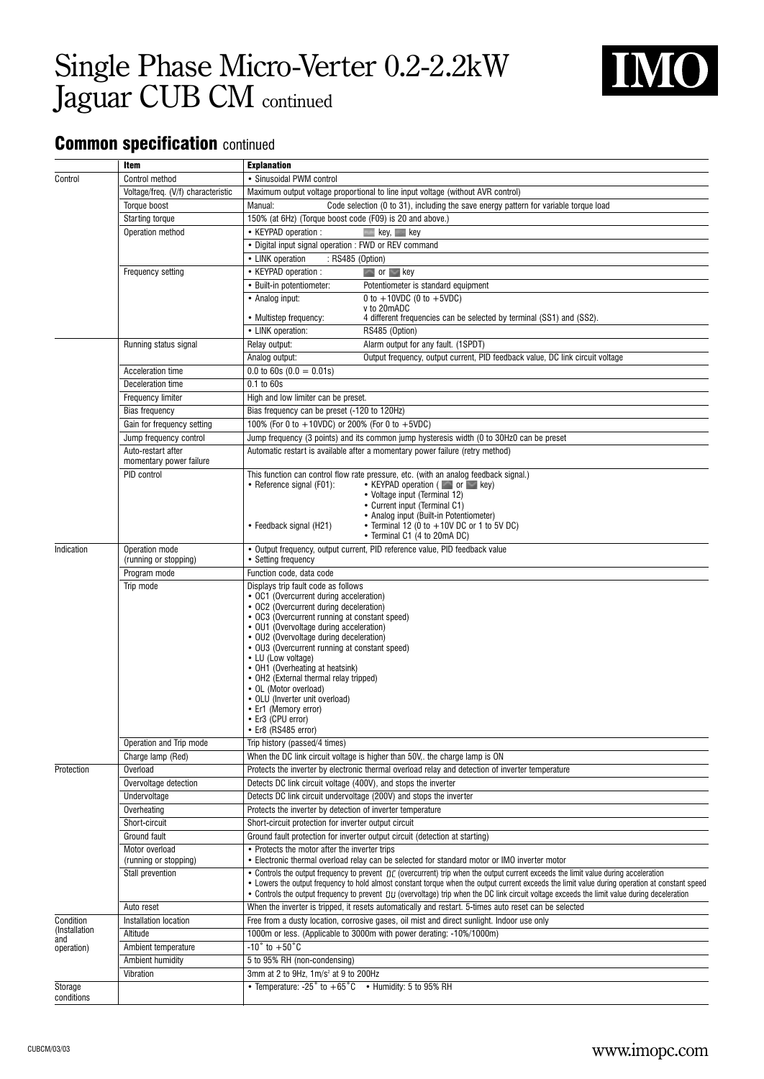

### **Common specification continued**

|               | Item                               | <b>Explanation</b>                                                                                                                                                                                                                                                                                  |
|---------------|------------------------------------|-----------------------------------------------------------------------------------------------------------------------------------------------------------------------------------------------------------------------------------------------------------------------------------------------------|
| Control       | Control method                     | · Sinusoidal PWM control                                                                                                                                                                                                                                                                            |
|               | Voltage/freq. (V/f) characteristic | Maximum output voltage proportional to line input voltage (without AVR control)                                                                                                                                                                                                                     |
|               | Torque boost                       | Manual:<br>Code selection (0 to 31), including the save energy pattern for variable torque load                                                                                                                                                                                                     |
|               | Starting torque                    | 150% (at 6Hz) (Torque boost code (F09) is 20 and above.)                                                                                                                                                                                                                                            |
|               | Operation method                   | • KEYPAD operation :<br>$\blacksquare$ key, $\blacksquare$ key                                                                                                                                                                                                                                      |
|               |                                    | • Digital input signal operation: FWD or REV command                                                                                                                                                                                                                                                |
|               |                                    | • LINK operation<br>: RS485 (Option)                                                                                                                                                                                                                                                                |
|               | Frequency setting                  | • KEYPAD operation :<br>$\sim$ or $\sim$ key                                                                                                                                                                                                                                                        |
|               |                                    | Potentiometer is standard equipment<br>• Built-in potentiometer:                                                                                                                                                                                                                                    |
|               |                                    | 0 to $+10VDC$ (0 to $+5VDC$ )<br>• Analog input:<br>v to 20mADC                                                                                                                                                                                                                                     |
|               |                                    | • Multistep frequency:<br>4 different frequencies can be selected by terminal (SS1) and (SS2).                                                                                                                                                                                                      |
|               |                                    | • LINK operation:<br>RS485 (Option)                                                                                                                                                                                                                                                                 |
|               | Running status signal              | Alarm output for any fault. (1SPDT)<br>Relay output:                                                                                                                                                                                                                                                |
|               |                                    | Analog output:<br>Output frequency, output current, PID feedback value, DC link circuit voltage                                                                                                                                                                                                     |
|               | Acceleration time                  | 0.0 to 60s $(0.0 = 0.01s)$                                                                                                                                                                                                                                                                          |
|               | Deceleration time                  | 0.1 to 60s                                                                                                                                                                                                                                                                                          |
|               | Frequency limiter                  | High and low limiter can be preset.                                                                                                                                                                                                                                                                 |
|               | Bias frequency                     | Bias frequency can be preset (-120 to 120Hz)                                                                                                                                                                                                                                                        |
|               | Gain for frequency setting         | 100% (For 0 to +10VDC) or 200% (For 0 to +5VDC)                                                                                                                                                                                                                                                     |
|               | Jump frequency control             | Jump frequency (3 points) and its common jump hysteresis width (0 to 30Hz0 can be preset                                                                                                                                                                                                            |
|               | Auto-restart after                 | Automatic restart is available after a momentary power failure (retry method)                                                                                                                                                                                                                       |
|               | momentary power failure            |                                                                                                                                                                                                                                                                                                     |
|               | PID control                        | This function can control flow rate pressure, etc. (with an analog feedback signal.)                                                                                                                                                                                                                |
|               |                                    | • KEYPAD operation ( or so key)<br>• Reference signal (F01):<br>• Voltage input (Terminal 12)                                                                                                                                                                                                       |
|               |                                    | • Current input (Terminal C1)                                                                                                                                                                                                                                                                       |
|               |                                    | • Analog input (Built-in Potentiometer)                                                                                                                                                                                                                                                             |
|               |                                    | • Terminal 12 (0 to $+10V$ DC or 1 to 5V DC)<br>• Feedback signal (H21)<br>• Terminal C1 (4 to 20mA DC)                                                                                                                                                                                             |
| Indication    | Operation mode                     | • Output frequency, output current, PID reference value, PID feedback value                                                                                                                                                                                                                         |
|               | (running or stopping)              | • Setting frequency                                                                                                                                                                                                                                                                                 |
|               | Program mode                       | Function code, data code                                                                                                                                                                                                                                                                            |
|               | Trip mode                          | Displays trip fault code as follows                                                                                                                                                                                                                                                                 |
|               |                                    | • OC1 (Overcurrent during acceleration)                                                                                                                                                                                                                                                             |
|               |                                    | • OC2 (Overcurrent during deceleration)                                                                                                                                                                                                                                                             |
|               |                                    | • OC3 (Overcurrent running at constant speed)<br>• OU1 (Overvoltage during acceleration)                                                                                                                                                                                                            |
|               |                                    | • OU2 (Overvoltage during deceleration)                                                                                                                                                                                                                                                             |
|               |                                    | • OU3 (Overcurrent running at constant speed)                                                                                                                                                                                                                                                       |
|               |                                    | • LU (Low voltage)<br>• OH1 (Overheating at heatsink)                                                                                                                                                                                                                                               |
|               |                                    | • OH2 (External thermal relay tripped)                                                                                                                                                                                                                                                              |
|               |                                    | • OL (Motor overload)                                                                                                                                                                                                                                                                               |
|               |                                    | • OLU (Inverter unit overload)                                                                                                                                                                                                                                                                      |
|               |                                    | • Er1 (Memory error)<br>• Er3 (CPU error)                                                                                                                                                                                                                                                           |
|               |                                    | • Er8 (RS485 error)                                                                                                                                                                                                                                                                                 |
|               | Operation and Trip mode            | Trip history (passed/4 times)                                                                                                                                                                                                                                                                       |
|               | Charge lamp (Red)                  | When the DC link circuit voltage is higher than 50V,. the charge lamp is ON                                                                                                                                                                                                                         |
| Protection    | Overload                           | Protects the inverter by electronic thermal overload relay and detection of inverter temperature                                                                                                                                                                                                    |
|               | Overvoltage detection              | Detects DC link circuit voltage (400V), and stops the inverter                                                                                                                                                                                                                                      |
|               | Undervoltage                       | Detects DC link circuit undervoltage (200V) and stops the inverter                                                                                                                                                                                                                                  |
|               | Overheating                        | Protects the inverter by detection of inverter temperature                                                                                                                                                                                                                                          |
|               | Short-circuit                      | Short-circuit protection for inverter output circuit                                                                                                                                                                                                                                                |
|               | Ground fault                       | Ground fault protection for inverter output circuit (detection at starting)                                                                                                                                                                                                                         |
|               | Motor overload                     | • Protects the motor after the inverter trips                                                                                                                                                                                                                                                       |
|               | (running or stopping)              | • Electronic thermal overload relay can be selected for standard motor or IMO inverter motor                                                                                                                                                                                                        |
|               | Stall prevention                   | • Controls the output frequency to prevent $B E$ (overcurrent) trip when the output current exceeds the limit value during acceleration                                                                                                                                                             |
|               |                                    | • Lowers the output frequency to hold almost constant torque when the output current exceeds the limit value during operation at constant speed<br>• Controls the output frequency to prevent $B U$ (overvoltage) trip when the DC link circuit voltage exceeds the limit value during deceleration |
|               | Auto reset                         | When the inverter is tripped, it resets automatically and restart. 5-times auto reset can be selected                                                                                                                                                                                               |
| Condition     | Installation location              | Free from a dusty location, corrosive gases, oil mist and direct sunlight. Indoor use only                                                                                                                                                                                                          |
| (Installation | Altitude                           | 1000m or less. (Applicable to 3000m with power derating: -10%/1000m)                                                                                                                                                                                                                                |
| and           | Ambient temperature                | $-10^\circ$ to $+50^\circ$ C                                                                                                                                                                                                                                                                        |
| operation)    | Ambient humidity                   | 5 to 95% RH (non-condensing)                                                                                                                                                                                                                                                                        |
|               | Vibration                          | 3mm at 2 to 9Hz, 1m/s <sup>2</sup> at 9 to 200Hz                                                                                                                                                                                                                                                    |
| Storage       |                                    | • Temperature: -25° to $+65^{\circ}$ C • Humidity: 5 to 95% RH                                                                                                                                                                                                                                      |
| conditions    |                                    |                                                                                                                                                                                                                                                                                                     |
|               |                                    |                                                                                                                                                                                                                                                                                                     |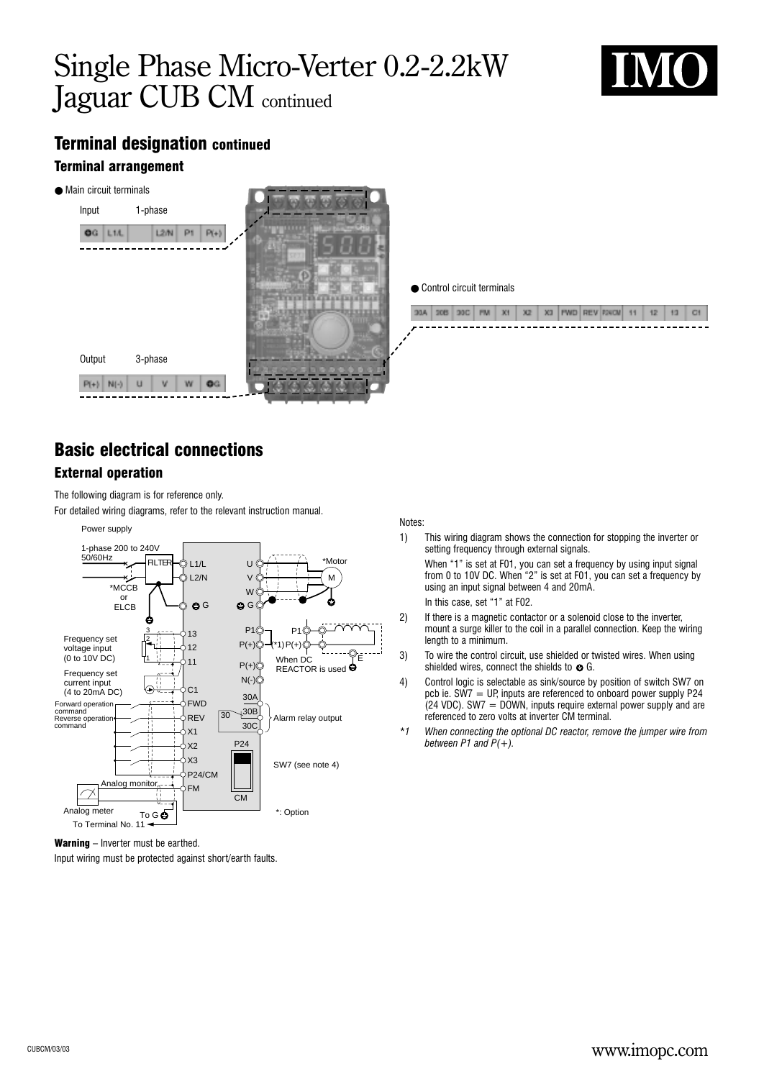

## Terminal designation continued

#### Terminal arrangement



● Control circuit terminals

|  |  | 524 | - 2620 | X3 |  | <b>NEWD LIREY ROOMS.</b> | 12. |  |
|--|--|-----|--------|----|--|--------------------------|-----|--|
|  |  |     |        |    |  |                          |     |  |

## Basic electrical connections

#### External operation

The following diagram is for reference only.

For detailed wiring diagrams, refer to the relevant instruction manual.



Notes:

1) This wiring diagram shows the connection for stopping the inverter or setting frequency through external signals.

When "1" is set at F01, you can set a frequency by using input signal from 0 to 10V DC. When "2" is set at F01, you can set a frequency by using an input signal between 4 and 20mA.

In this case, set "1" at F02.

- 2) If there is a magnetic contactor or a solenoid close to the inverter, mount a surge killer to the coil in a parallel connection. Keep the wiring length to a minimum.
- 3) To wire the control circuit, use shielded or twisted wires. When using shielded wires, connect the shields to  $\bullet$  G.
- 4) Control logic is selectable as sink/source by position of switch SW7 on pcb ie.  $SW7 = UP$ , inputs are referenced to onboard power supply P24  $(24 \text{ VDC})$ . SW7 = DOWN, inputs require external power supply and are referenced to zero volts at inverter CM terminal.
- *\*1 When connecting the optional DC reactor, remove the jumper wire from between P1 and P(+).*

Warning – Inverter must be earthed.

Input wiring must be protected against short/earth faults.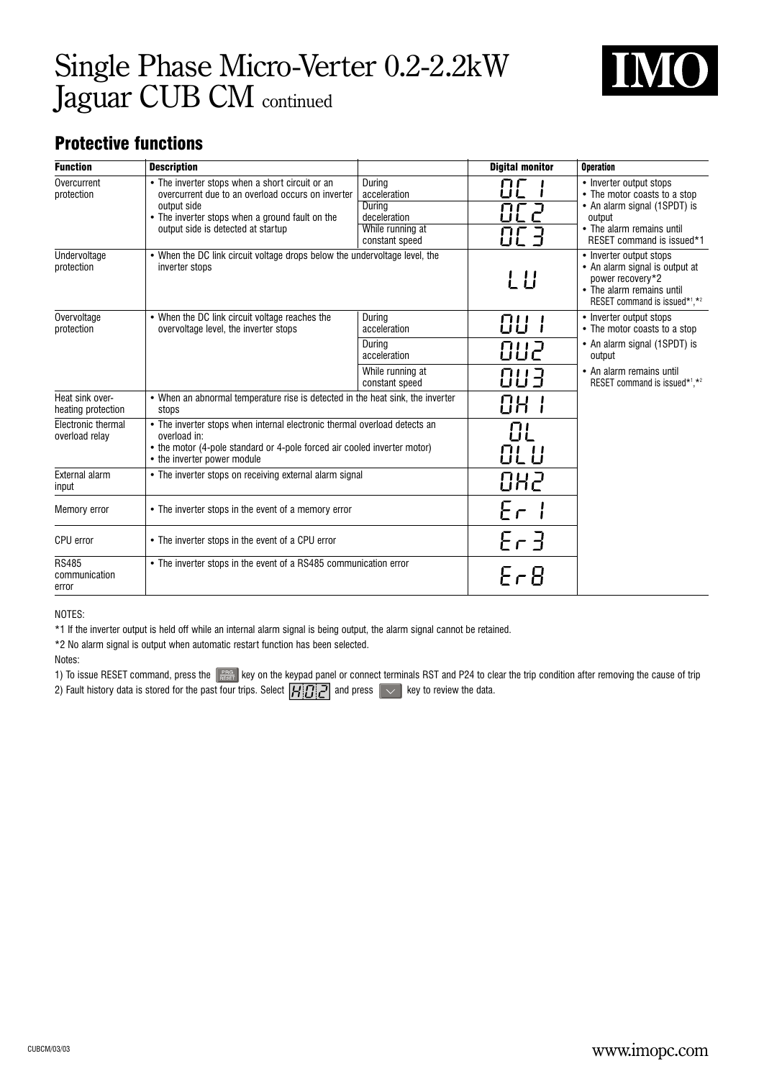

### Protective functions

| <b>Function</b>                        | <b>Description</b>                                                                                                                                                                                           |                                                                                        | <b>Digital monitor</b> | <b>Operation</b>                                                                                                                                            |  |  |  |
|----------------------------------------|--------------------------------------------------------------------------------------------------------------------------------------------------------------------------------------------------------------|----------------------------------------------------------------------------------------|------------------------|-------------------------------------------------------------------------------------------------------------------------------------------------------------|--|--|--|
| Overcurrent<br>protection              | • The inverter stops when a short circuit or an<br>overcurrent due to an overload occurs on inverter<br>output side<br>• The inverter stops when a ground fault on the<br>output side is detected at startup | During<br>acceleration<br>During<br>deceleration<br>While running at<br>constant speed | RF 2<br>8C 3           | • Inverter output stops<br>• The motor coasts to a stop<br>• An alarm signal (1SPDT) is<br>output<br>• The alarm remains until<br>RESET command is issued*1 |  |  |  |
| Undervoltage<br>protection             | • When the DC link circuit voltage drops below the undervoltage level, the<br>inverter stops                                                                                                                 |                                                                                        | LU                     | • Inverter output stops<br>• An alarm signal is output at<br>power recovery*2<br>• The alarm remains until<br>RESET command is issued*1,*2                  |  |  |  |
| Overvoltage<br>protection              | • When the DC link circuit voltage reaches the<br>overvoltage level, the inverter stops                                                                                                                      | During<br>acceleration                                                                 | 88 I                   | • Inverter output stops<br>• The motor coasts to a stop                                                                                                     |  |  |  |
|                                        |                                                                                                                                                                                                              | During<br>acceleration                                                                 | 882                    | • An alarm signal (1SPDT) is<br>output                                                                                                                      |  |  |  |
|                                        |                                                                                                                                                                                                              | While running at<br>constant speed                                                     | 883                    | • An alarm remains until<br>RESET command is issued*1.*2                                                                                                    |  |  |  |
| Heat sink over-<br>heating protection  | • When an abnormal temperature rise is detected in the heat sink, the inverter<br>stops                                                                                                                      |                                                                                        | 88 I                   |                                                                                                                                                             |  |  |  |
| Electronic thermal<br>overload relay   | • The inverter stops when internal electronic thermal overload detects an<br>overload in:<br>• the motor (4-pole standard or 4-pole forced air cooled inverter motor)<br>• the inverter power module         |                                                                                        | 8L<br>8L U             |                                                                                                                                                             |  |  |  |
| External alarm<br>input                | • The inverter stops on receiving external alarm signal                                                                                                                                                      |                                                                                        | 882                    |                                                                                                                                                             |  |  |  |
| Memory error                           | • The inverter stops in the event of a memory error                                                                                                                                                          |                                                                                        | Er I                   |                                                                                                                                                             |  |  |  |
| CPU error                              | • The inverter stops in the event of a CPU error                                                                                                                                                             |                                                                                        | $E-3$                  |                                                                                                                                                             |  |  |  |
| <b>RS485</b><br>communication<br>error | • The inverter stops in the event of a RS485 communication error                                                                                                                                             |                                                                                        | $F \cap B$             |                                                                                                                                                             |  |  |  |

NOTES:

\*1 If the inverter output is held off while an internal alarm signal is being output, the alarm signal cannot be retained.

\*2 No alarm signal is output when automatic restart function has been selected.

#### Notes:

1) To issue RESET command, press the  $\frac{PRG}{REST}$  key on the keypad panel or connect terminals RST and P24 to clear the trip condition after removing the cause of trip 2) Fault history data is stored for the past four trips. Select  $\boxed{H[\vec{G}|\vec{C}]}$  and press  $\boxed{\smile}$  key to review the data.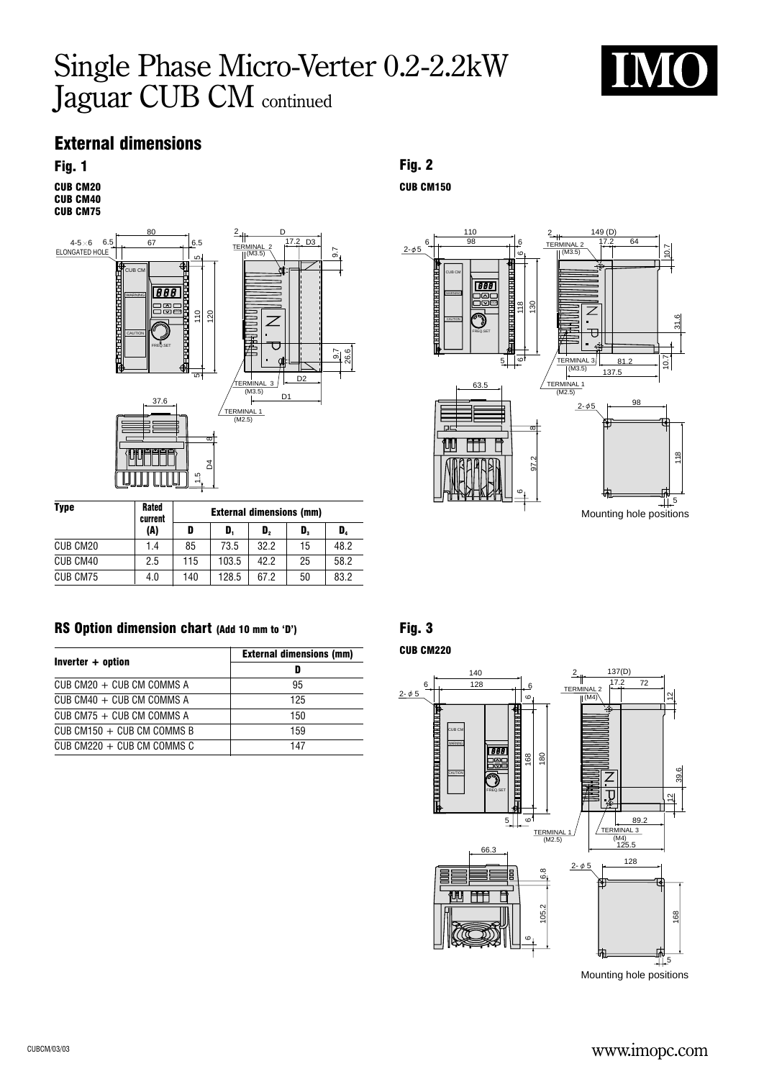

### External dimensions

CUB CM20 CUB CM40



| <b>Type</b> | <b>Rated</b><br>current | <b>External dimensions (mm)</b> |       |                |    |      |  |  |  |  |  |  |
|-------------|-------------------------|---------------------------------|-------|----------------|----|------|--|--|--|--|--|--|
|             | (A)                     | D                               | D.    | $\mathbf{D}_2$ | D, | D,   |  |  |  |  |  |  |
| CUB CM20    | 1.4                     | 85                              | 73.5  | 32.2           | 15 | 48.2 |  |  |  |  |  |  |
| CUB CM40    | 2.5                     | 115                             | 103.5 | 42.2           | 25 | 58.2 |  |  |  |  |  |  |
| CUB CM75    | 4.0                     | 140                             | 128.5 | 67.2           | 50 | 83.2 |  |  |  |  |  |  |

#### RS Option dimension chart (Add 10 mm to 'D') Fig. 3

|                              | <b>External dimensions (mm)</b> |
|------------------------------|---------------------------------|
| Inverter + option            | D                               |
| $CUB CM20 + CUB CM COMMS A$  | 95                              |
| $CUB CMAO + CUB CMA COMMS A$ | 125                             |
| CUB CM75 $+$ CUB CM COMMS A  | 150                             |
| CUB CM150 $+$ CUB CM COMMS B | 159                             |
| $CUB CM220 + CUB CM COMMS C$ | 147                             |

#### Fig. 1 Fig. 2

CUB CM150



CUB CM220



Mounting hole positions

### www.imopc.com